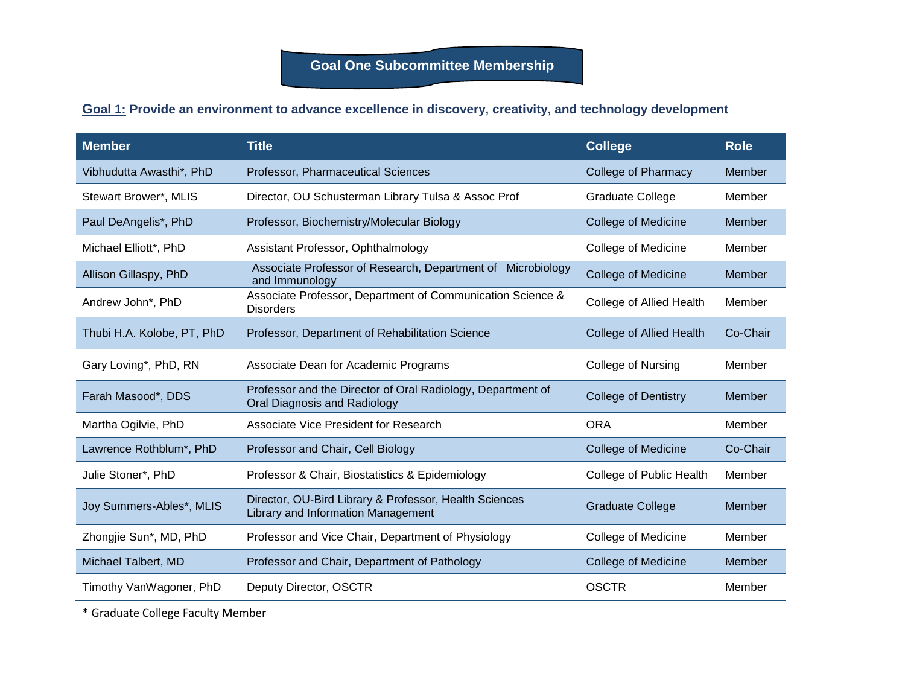## **Goal 1: Provide an environment to advance excellence in discovery, creativity, and technology development**

| <b>Member</b>              | <b>Title</b>                                                                                 | <b>College</b>              | <b>Role</b> |
|----------------------------|----------------------------------------------------------------------------------------------|-----------------------------|-------------|
| Vibhudutta Awasthi*, PhD   | Professor, Pharmaceutical Sciences                                                           | College of Pharmacy         | Member      |
| Stewart Brower*, MLIS      | Director, OU Schusterman Library Tulsa & Assoc Prof                                          | <b>Graduate College</b>     | Member      |
| Paul DeAngelis*, PhD       | Professor, Biochemistry/Molecular Biology                                                    | <b>College of Medicine</b>  | Member      |
| Michael Elliott*, PhD      | Assistant Professor, Ophthalmology                                                           | <b>College of Medicine</b>  | Member      |
| Allison Gillaspy, PhD      | Associate Professor of Research, Department of Microbiology<br>and Immunology                | <b>College of Medicine</b>  | Member      |
| Andrew John*, PhD          | Associate Professor, Department of Communication Science &<br><b>Disorders</b>               | College of Allied Health    | Member      |
| Thubi H.A. Kolobe, PT, PhD | Professor, Department of Rehabilitation Science                                              | College of Allied Health    | Co-Chair    |
| Gary Loving*, PhD, RN      | Associate Dean for Academic Programs                                                         | <b>College of Nursing</b>   | Member      |
| Farah Masood*, DDS         | Professor and the Director of Oral Radiology, Department of<br>Oral Diagnosis and Radiology  | <b>College of Dentistry</b> | Member      |
| Martha Ogilvie, PhD        | <b>Associate Vice President for Research</b>                                                 | <b>ORA</b>                  | Member      |
| Lawrence Rothblum*, PhD    | Professor and Chair, Cell Biology                                                            | <b>College of Medicine</b>  | Co-Chair    |
| Julie Stoner*, PhD         | Professor & Chair, Biostatistics & Epidemiology                                              | College of Public Health    | Member      |
| Joy Summers-Ables*, MLIS   | Director, OU-Bird Library & Professor, Health Sciences<br>Library and Information Management | <b>Graduate College</b>     | Member      |
| Zhongjie Sun*, MD, PhD     | Professor and Vice Chair, Department of Physiology                                           | <b>College of Medicine</b>  | Member      |
| Michael Talbert, MD        | Professor and Chair, Department of Pathology                                                 | <b>College of Medicine</b>  | Member      |
| Timothy VanWagoner, PhD    | Deputy Director, OSCTR                                                                       | <b>OSCTR</b>                | Member      |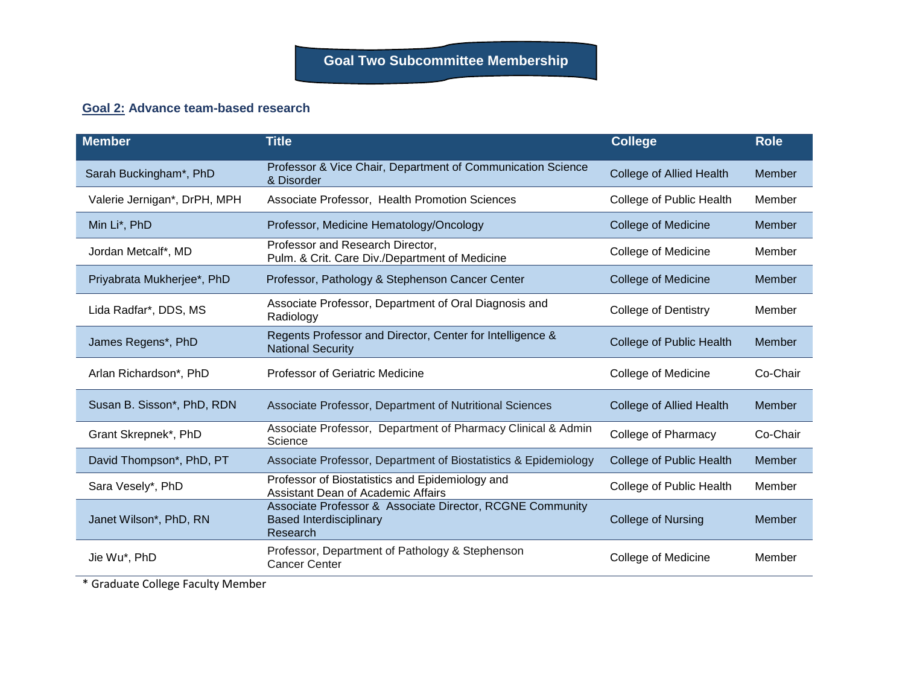## **Goal 2: Advance team-based research**

| <b>Member</b>                | <b>Title</b>                                                                                            | <b>College</b>                  | <b>Role</b> |
|------------------------------|---------------------------------------------------------------------------------------------------------|---------------------------------|-------------|
| Sarah Buckingham*, PhD       | Professor & Vice Chair, Department of Communication Science<br>& Disorder                               | <b>College of Allied Health</b> | Member      |
| Valerie Jernigan*, DrPH, MPH | Associate Professor, Health Promotion Sciences                                                          | College of Public Health        | Member      |
| Min Li*, PhD                 | Professor, Medicine Hematology/Oncology                                                                 | <b>College of Medicine</b>      | Member      |
| Jordan Metcalf*, MD          | Professor and Research Director,<br>Pulm. & Crit. Care Div./Department of Medicine                      | <b>College of Medicine</b>      | Member      |
| Priyabrata Mukherjee*, PhD   | Professor, Pathology & Stephenson Cancer Center                                                         | <b>College of Medicine</b>      | Member      |
| Lida Radfar*, DDS, MS        | Associate Professor, Department of Oral Diagnosis and<br>Radiology                                      | <b>College of Dentistry</b>     | Member      |
| James Regens*, PhD           | Regents Professor and Director, Center for Intelligence &<br><b>National Security</b>                   | College of Public Health        | Member      |
| Arlan Richardson*, PhD       | Professor of Geriatric Medicine                                                                         | <b>College of Medicine</b>      | Co-Chair    |
| Susan B. Sisson*, PhD, RDN   | Associate Professor, Department of Nutritional Sciences                                                 | <b>College of Allied Health</b> | Member      |
| Grant Skrepnek*, PhD         | Associate Professor, Department of Pharmacy Clinical & Admin<br>Science                                 | College of Pharmacy             | Co-Chair    |
| David Thompson*, PhD, PT     | Associate Professor, Department of Biostatistics & Epidemiology                                         | College of Public Health        | Member      |
| Sara Vesely*, PhD            | Professor of Biostatistics and Epidemiology and<br><b>Assistant Dean of Academic Affairs</b>            | College of Public Health        | Member      |
| Janet Wilson*, PhD, RN       | Associate Professor & Associate Director, RCGNE Community<br><b>Based Interdisciplinary</b><br>Research | <b>College of Nursing</b>       | Member      |
| Jie Wu*, PhD                 | Professor, Department of Pathology & Stephenson<br><b>Cancer Center</b>                                 | <b>College of Medicine</b>      | Member      |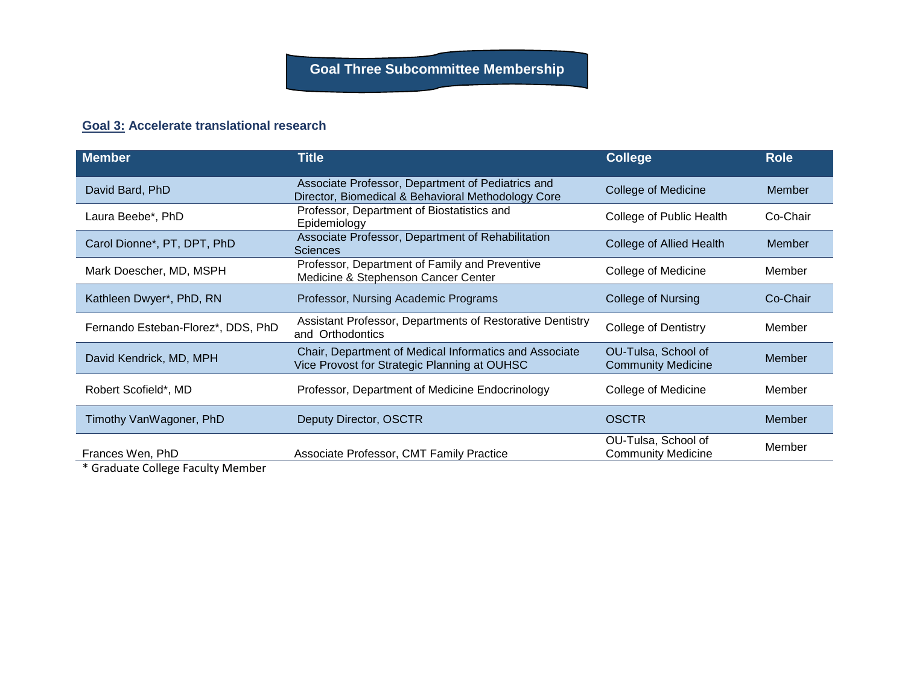## **Goal 3: Accelerate translational research**

| <b>Member</b>                      | <b>Title</b>                                                                                            | <b>College</b>                                   | <b>Role</b>   |
|------------------------------------|---------------------------------------------------------------------------------------------------------|--------------------------------------------------|---------------|
| David Bard, PhD                    | Associate Professor, Department of Pediatrics and<br>Director, Biomedical & Behavioral Methodology Core | <b>College of Medicine</b>                       | Member        |
| Laura Beebe*, PhD                  | Professor, Department of Biostatistics and<br>Epidemiology                                              | College of Public Health                         | Co-Chair      |
| Carol Dionne*, PT, DPT, PhD        | Associate Professor, Department of Rehabilitation<br><b>Sciences</b>                                    | <b>College of Allied Health</b>                  | Member        |
| Mark Doescher, MD, MSPH            | Professor, Department of Family and Preventive<br>Medicine & Stephenson Cancer Center                   | College of Medicine                              | Member        |
| Kathleen Dwyer*, PhD, RN           | Professor, Nursing Academic Programs                                                                    | College of Nursing                               | Co-Chair      |
| Fernando Esteban-Florez*, DDS, PhD | Assistant Professor, Departments of Restorative Dentistry<br>and Orthodontics                           | <b>College of Dentistry</b>                      | Member        |
| David Kendrick, MD, MPH            | Chair, Department of Medical Informatics and Associate<br>Vice Provost for Strategic Planning at OUHSC  | OU-Tulsa, School of<br><b>Community Medicine</b> | Member        |
| Robert Scofield*, MD               | Professor, Department of Medicine Endocrinology                                                         | College of Medicine                              | Member        |
| Timothy VanWagoner, PhD            | Deputy Director, OSCTR                                                                                  | <b>OSCTR</b>                                     | <b>Member</b> |
| Frances Wen, PhD<br>.              | Associate Professor, CMT Family Practice                                                                | OU-Tulsa, School of<br><b>Community Medicine</b> | Member        |